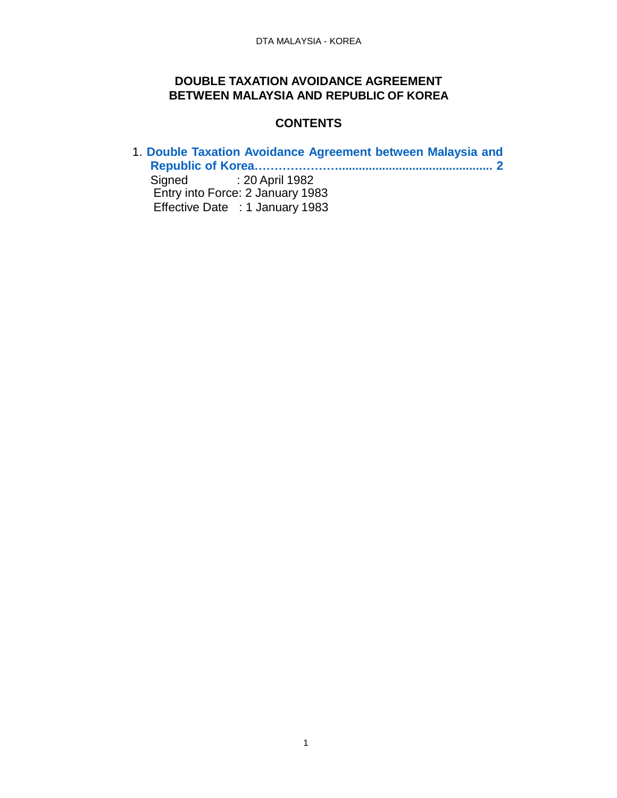# **DOUBLE TAXATION AVOIDANCE AGREEMENT BETWEEN MALAYSIA AND REPUBLIC OF KOREA**

# **CONTENTS**

1. **Double Taxation Avoidance Agreement between Malaysia and Republic of Korea………………….............................................. 2** Signed : 20 April 1982

Entry into Force: 2 January 1983 Effective Date : 1 January 1983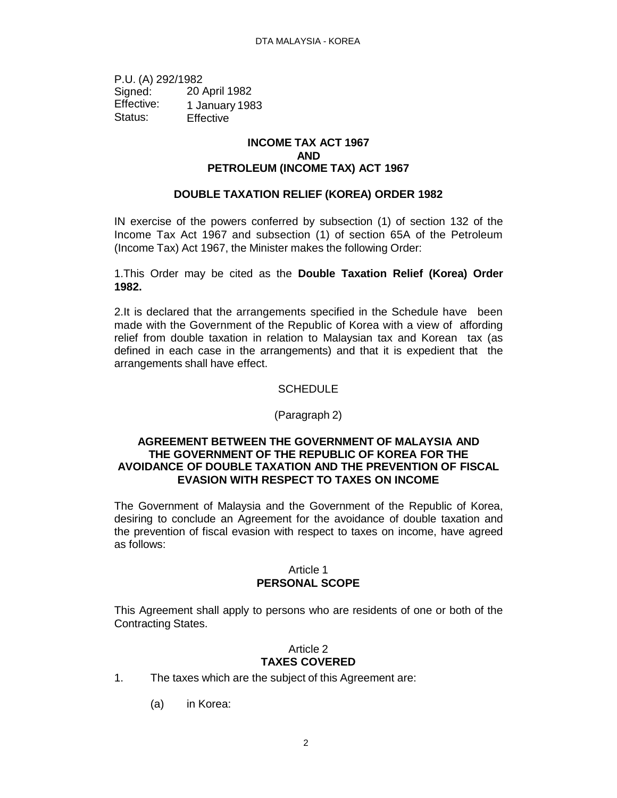P.U. (A) 292/1982 Signed: Effective: Status: 20 April 1982 1 January 1983 **Effective** 

#### **INCOME TAX ACT 1967 AND PETROLEUM (INCOME TAX) ACT 1967**

### **DOUBLE TAXATION RELIEF (KOREA) ORDER 1982**

IN exercise of the powers conferred by subsection (1) of section 132 of the Income Tax Act 1967 and subsection (1) of section 65A of the Petroleum (Income Tax) Act 1967, the Minister makes the following Order:

1.This Order may be cited as the **Double Taxation Relief (Korea) Order 1982.**

2.It is declared that the arrangements specified in the Schedule have been made with the Government of the Republic of Korea with a view of affording relief from double taxation in relation to Malaysian tax and Korean tax (as defined in each case in the arrangements) and that it is expedient that the arrangements shall have effect.

### SCHEDULE

### (Paragraph 2)

#### **AGREEMENT BETWEEN THE GOVERNMENT OF MALAYSIA AND THE GOVERNMENT OF THE REPUBLIC OF KOREA FOR THE AVOIDANCE OF DOUBLE TAXATION AND THE PREVENTION OF FISCAL EVASION WITH RESPECT TO TAXES ON INCOME**

The Government of Malaysia and the Government of the Republic of Korea, desiring to conclude an Agreement for the avoidance of double taxation and the prevention of fiscal evasion with respect to taxes on income, have agreed as follows:

# Article 1

### **PERSONAL SCOPE**

This Agreement shall apply to persons who are residents of one or both of the Contracting States.

### Article 2 **TAXES COVERED**

- 1. The taxes which are the subject of this Agreement are:
	- (a) in Korea: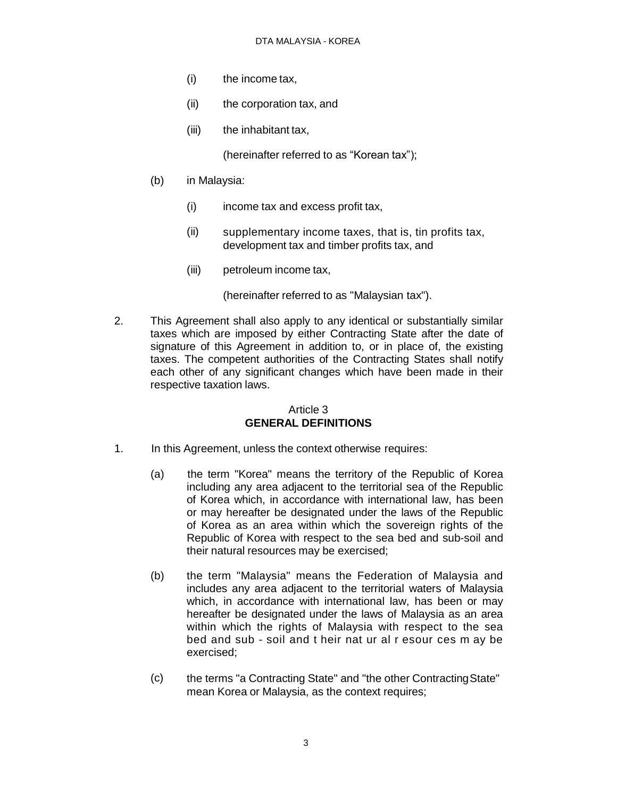- (i) the income tax,
- (ii) the corporation tax, and
- (iii) the inhabitant tax,

(hereinafter referred to as "Korean tax");

- (b) in Malaysia:
	- (i) income tax and excess profit tax,
	- (ii) supplementary income taxes, that is, tin profits tax, development tax and timber profits tax, and
	- (iii) petroleum income tax,

(hereinafter referred to as "Malaysian tax").

2. This Agreement shall also apply to any identical or substantially similar taxes which are imposed by either Contracting State after the date of signature of this Agreement in addition to, or in place of, the existing taxes. The competent authorities of the Contracting States shall notify each other of any significant changes which have been made in their respective taxation laws.

### Article 3 **GENERAL DEFINITIONS**

- 1. In this Agreement, unless the context otherwise requires:
	- (a) the term "Korea" means the territory of the Republic of Korea including any area adjacent to the territorial sea of the Republic of Korea which, in accordance with international law, has been or may hereafter be designated under the laws of the Republic of Korea as an area within which the sovereign rights of the Republic of Korea with respect to the sea bed and sub-soil and their natural resources may be exercised;
	- (b) the term "Malaysia" means the Federation of Malaysia and includes any area adjacent to the territorial waters of Malaysia which, in accordance with international law, has been or may hereafter be designated under the laws of Malaysia as an area within which the rights of Malaysia with respect to the sea bed and sub - soil and t heir nat ur al r esour ces m ay be exercised;
	- (c) the terms "a Contracting State" and "the other ContractingState" mean Korea or Malaysia, as the context requires;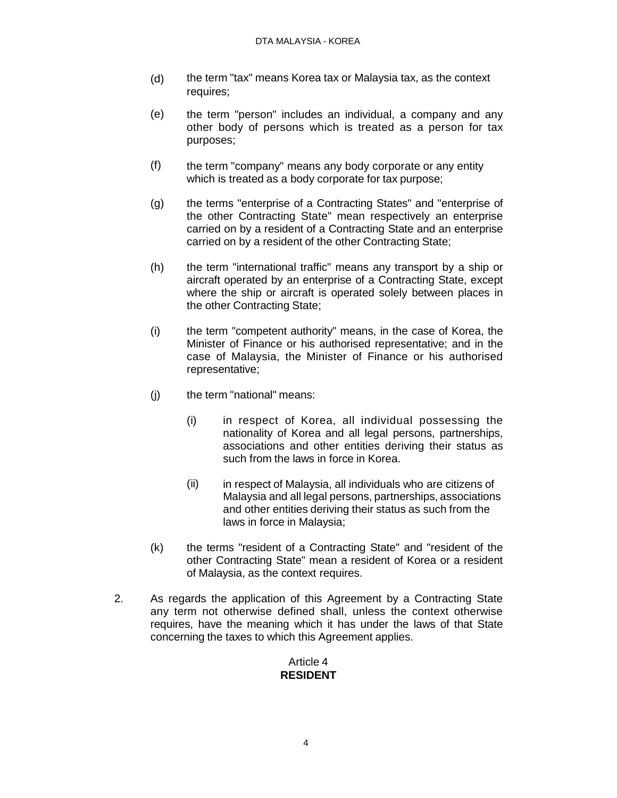- (d) the term "tax" means Korea tax or Malaysia tax, as the context requires;
- (e) the term "person" includes an individual, a company and any other body of persons which is treated as a person for tax purposes;
- (f) the term "company" means any body corporate or any entity which is treated as a body corporate for tax purpose;
- (g) the terms "enterprise of a Contracting States" and "enterprise of the other Contracting State" mean respectively an enterprise carried on by a resident of a Contracting State and an enterprise carried on by a resident of the other Contracting State;
- (h) the term "international traffic" means any transport by a ship or aircraft operated by an enterprise of a Contracting State, except where the ship or aircraft is operated solely between places in the other Contracting State;
- (i) the term "competent authority" means, in the case of Korea, the Minister of Finance or his authorised representative; and in the case of Malaysia, the Minister of Finance or his authorised representative;
- (j) the term "national" means:
	- (i) in respect of Korea, all individual possessing the nationality of Korea and all legal persons, partnerships, associations and other entities deriving their status as such from the laws in force in Korea.
	- (ii) in respect of Malaysia, all individuals who are citizens of Malaysia and all legal persons, partnerships, associations and other entities deriving their status as such from the laws in force in Malaysia;
- (k) the terms "resident of a Contracting State" and "resident of the other Contracting State" mean a resident of Korea or a resident of Malaysia, as the context requires.
- 2. As regards the application of this Agreement by a Contracting State any term not otherwise defined shall, unless the context otherwise requires, have the meaning which it has under the laws of that State concerning the taxes to which this Agreement applies.

# Article 4 **RESIDENT**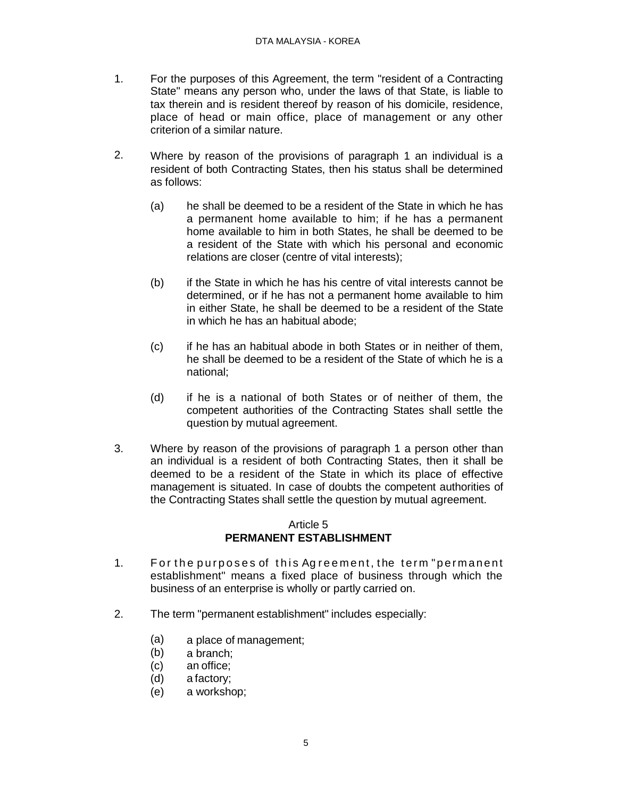- 1. For the purposes of this Agreement, the term "resident of a Contracting State" means any person who, under the laws of that State, is liable to tax therein and is resident thereof by reason of his domicile, residence, place of head or main office, place of management or any other criterion of a similar nature.
- 2. Where by reason of the provisions of paragraph 1 an individual is a resident of both Contracting States, then his status shall be determined as follows:
	- (a) he shall be deemed to be a resident of the State in which he has a permanent home available to him; if he has a permanent home available to him in both States, he shall be deemed to be a resident of the State with which his personal and economic relations are closer (centre of vital interests);
	- (b) if the State in which he has his centre of vital interests cannot be determined, or if he has not a permanent home available to him in either State, he shall be deemed to be a resident of the State in which he has an habitual abode;
	- (c) if he has an habitual abode in both States or in neither of them, he shall be deemed to be a resident of the State of which he is a national;
	- (d) if he is a national of both States or of neither of them, the competent authorities of the Contracting States shall settle the question by mutual agreement.
- 3. Where by reason of the provisions of paragraph 1 a person other than an individual is a resident of both Contracting States, then it shall be deemed to be a resident of the State in which its place of effective management is situated. In case of doubts the competent authorities of the Contracting States shall settle the question by mutual agreement.

## Article 5 **PERMANENT ESTABLISHMENT**

- 1. For the purposes of this Agreement, the term "permanent establishment" means a fixed place of business through which the business of an enterprise is wholly or partly carried on.
- 2. The term "permanent establishment" includes especially:
	- (a) a place of management;
	- (b) a branch;
	- (c) an office;
	- (d) a factory;
	- (e) a workshop;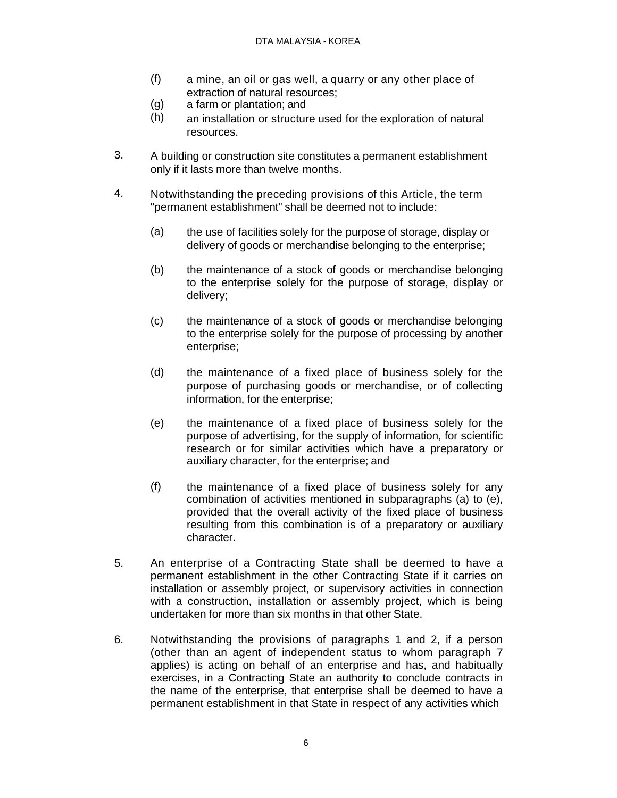- (f) a mine, an oil or gas well, a quarry or any other place of extraction of natural resources;
- (g) a farm or plantation; and
- (h) an installation or structure used for the exploration of natural resources.
- 3. A building or construction site constitutes a permanent establishment only if it lasts more than twelve months.
- 4. Notwithstanding the preceding provisions of this Article, the term "permanent establishment" shall be deemed not to include:
	- (a) the use of facilities solely for the purpose of storage, display or delivery of goods or merchandise belonging to the enterprise;
	- (b) the maintenance of a stock of goods or merchandise belonging to the enterprise solely for the purpose of storage, display or delivery;
	- (c) the maintenance of a stock of goods or merchandise belonging to the enterprise solely for the purpose of processing by another enterprise;
	- (d) the maintenance of a fixed place of business solely for the purpose of purchasing goods or merchandise, or of collecting information, for the enterprise;
	- (e) the maintenance of a fixed place of business solely for the purpose of advertising, for the supply of information, for scientific research or for similar activities which have a preparatory or auxiliary character, for the enterprise; and
	- (f) the maintenance of a fixed place of business solely for any combination of activities mentioned in subparagraphs (a) to (e), provided that the overall activity of the fixed place of business resulting from this combination is of a preparatory or auxiliary character.
- 5. An enterprise of a Contracting State shall be deemed to have a permanent establishment in the other Contracting State if it carries on installation or assembly project, or supervisory activities in connection with a construction, installation or assembly project, which is being undertaken for more than six months in that other State.
- 6. Notwithstanding the provisions of paragraphs 1 and 2, if a person (other than an agent of independent status to whom paragraph 7 applies) is acting on behalf of an enterprise and has, and habitually exercises, in a Contracting State an authority to conclude contracts in the name of the enterprise, that enterprise shall be deemed to have a permanent establishment in that State in respect of any activities which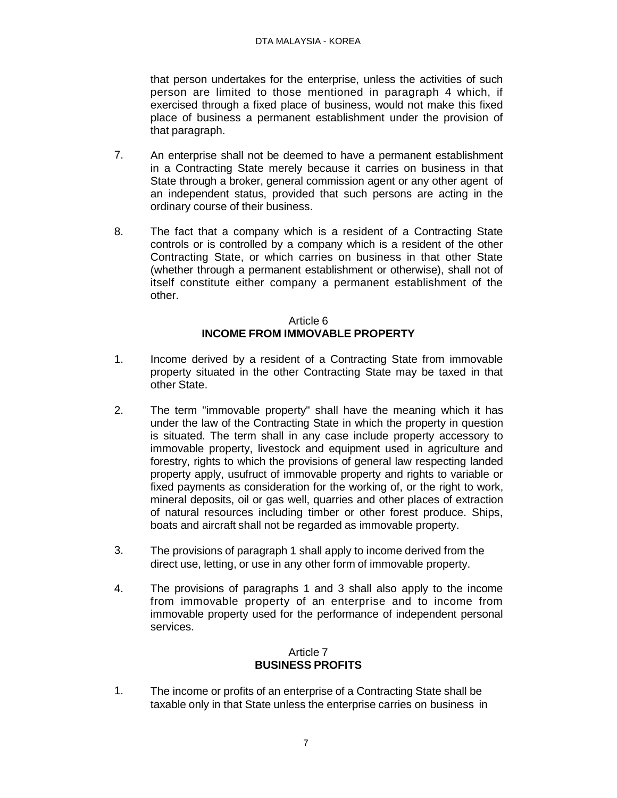that person undertakes for the enterprise, unless the activities of such person are limited to those mentioned in paragraph 4 which, if exercised through a fixed place of business, would not make this fixed place of business a permanent establishment under the provision of that paragraph.

- 7. An enterprise shall not be deemed to have a permanent establishment in a Contracting State merely because it carries on business in that State through a broker, general commission agent or any other agent of an independent status, provided that such persons are acting in the ordinary course of their business.
- 8. The fact that a company which is a resident of a Contracting State controls or is controlled by a company which is a resident of the other Contracting State, or which carries on business in that other State (whether through a permanent establishment or otherwise), shall not of itself constitute either company a permanent establishment of the other.

## Article 6 **INCOME FROM IMMOVABLE PROPERTY**

- 1. Income derived by a resident of a Contracting State from immovable property situated in the other Contracting State may be taxed in that other State.
- 2. The term "immovable property" shall have the meaning which it has under the law of the Contracting State in which the property in question is situated. The term shall in any case include property accessory to immovable property, livestock and equipment used in agriculture and forestry, rights to which the provisions of general law respecting landed property apply, usufruct of immovable property and rights to variable or fixed payments as consideration for the working of, or the right to work, mineral deposits, oil or gas well, quarries and other places of extraction of natural resources including timber or other forest produce. Ships, boats and aircraft shall not be regarded as immovable property.
- 3. The provisions of paragraph 1 shall apply to income derived from the direct use, letting, or use in any other form of immovable property.
- 4. The provisions of paragraphs 1 and 3 shall also apply to the income from immovable property of an enterprise and to income from immovable property used for the performance of independent personal services.

## Article 7 **BUSINESS PROFITS**

1. The income or profits of an enterprise of a Contracting State shall be taxable only in that State unless the enterprise carries on business in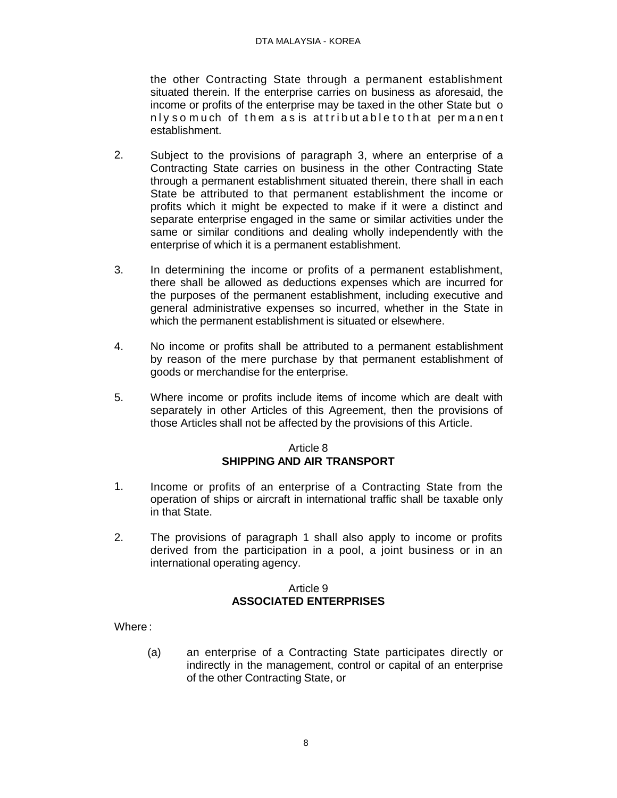the other Contracting State through a permanent establishment situated therein. If the enterprise carries on business as aforesaid, the income or profits of the enterprise may be taxed in the other State but o n ly so much of them as is at tributable to that permanent establishment.

- 2. Subject to the provisions of paragraph 3, where an enterprise of a Contracting State carries on business in the other Contracting State through a permanent establishment situated therein, there shall in each State be attributed to that permanent establishment the income or profits which it might be expected to make if it were a distinct and separate enterprise engaged in the same or similar activities under the same or similar conditions and dealing wholly independently with the enterprise of which it is a permanent establishment.
- 3. In determining the income or profits of a permanent establishment, there shall be allowed as deductions expenses which are incurred for the purposes of the permanent establishment, including executive and general administrative expenses so incurred, whether in the State in which the permanent establishment is situated or elsewhere.
- 4. No income or profits shall be attributed to a permanent establishment by reason of the mere purchase by that permanent establishment of goods or merchandise for the enterprise.
- 5. Where income or profits include items of income which are dealt with separately in other Articles of this Agreement, then the provisions of those Articles shall not be affected by the provisions of this Article.

### Article 8 **SHIPPING AND AIR TRANSPORT**

- 1. Income or profits of an enterprise of a Contracting State from the operation of ships or aircraft in international traffic shall be taxable only in that State.
- 2. The provisions of paragraph 1 shall also apply to income or profits derived from the participation in a pool, a joint business or in an international operating agency.

### Article 9 **ASSOCIATED ENTERPRISES**

Where :

(a) an enterprise of a Contracting State participates directly or indirectly in the management, control or capital of an enterprise of the other Contracting State, or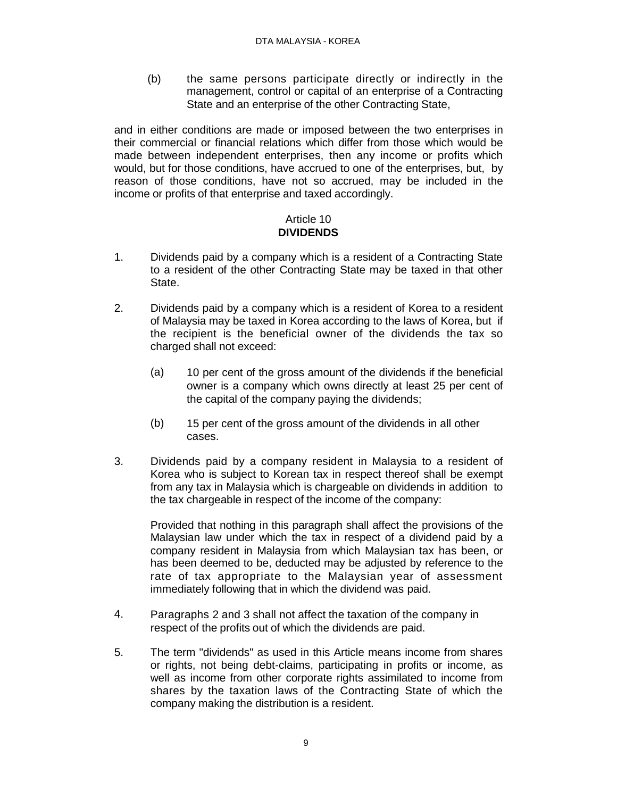(b) the same persons participate directly or indirectly in the management, control or capital of an enterprise of a Contracting State and an enterprise of the other Contracting State,

and in either conditions are made or imposed between the two enterprises in their commercial or financial relations which differ from those which would be made between independent enterprises, then any income or profits which would, but for those conditions, have accrued to one of the enterprises, but, by reason of those conditions, have not so accrued, may be included in the income or profits of that enterprise and taxed accordingly.

### Article 10 **DIVIDENDS**

- 1. Dividends paid by a company which is a resident of a Contracting State to a resident of the other Contracting State may be taxed in that other State.
- 2. Dividends paid by a company which is a resident of Korea to a resident of Malaysia may be taxed in Korea according to the laws of Korea, but if the recipient is the beneficial owner of the dividends the tax so charged shall not exceed:
	- (a) 10 per cent of the gross amount of the dividends if the beneficial owner is a company which owns directly at least 25 per cent of the capital of the company paying the dividends;
	- (b) 15 per cent of the gross amount of the dividends in all other cases.
- 3. Dividends paid by a company resident in Malaysia to a resident of Korea who is subject to Korean tax in respect thereof shall be exempt from any tax in Malaysia which is chargeable on dividends in addition to the tax chargeable in respect of the income of the company:

Provided that nothing in this paragraph shall affect the provisions of the Malaysian law under which the tax in respect of a dividend paid by a company resident in Malaysia from which Malaysian tax has been, or has been deemed to be, deducted may be adjusted by reference to the rate of tax appropriate to the Malaysian year of assessment immediately following that in which the dividend was paid.

- 4. Paragraphs 2 and 3 shall not affect the taxation of the company in respect of the profits out of which the dividends are paid.
- 5. The term "dividends" as used in this Article means income from shares or rights, not being debt-claims, participating in profits or income, as well as income from other corporate rights assimilated to income from shares by the taxation laws of the Contracting State of which the company making the distribution is a resident.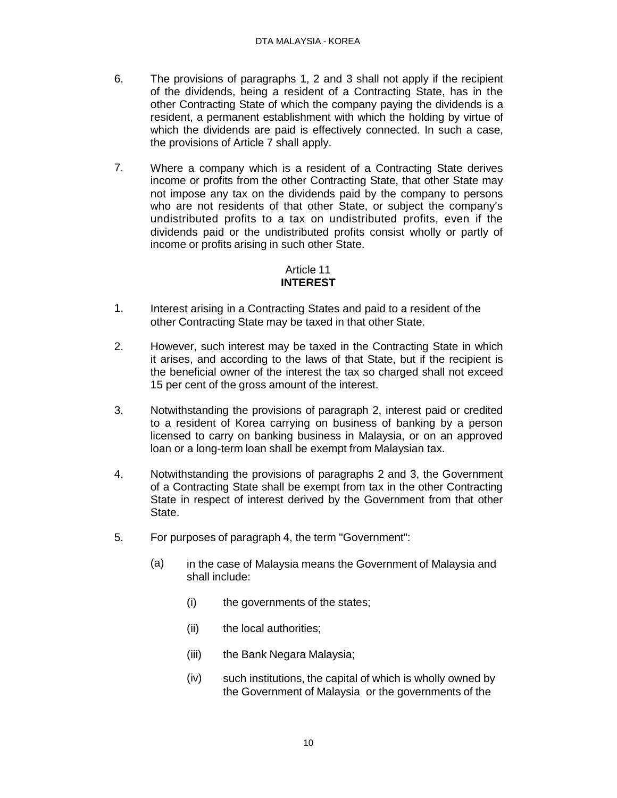- 6. The provisions of paragraphs 1, 2 and 3 shall not apply if the recipient of the dividends, being a resident of a Contracting State, has in the other Contracting State of which the company paying the dividends is a resident, a permanent establishment with which the holding by virtue of which the dividends are paid is effectively connected. In such a case, the provisions of Article 7 shall apply.
- 7. Where a company which is a resident of a Contracting State derives income or profits from the other Contracting State, that other State may not impose any tax on the dividends paid by the company to persons who are not residents of that other State, or subject the company's undistributed profits to a tax on undistributed profits, even if the dividends paid or the undistributed profits consist wholly or partly of income or profits arising in such other State.

#### Article 11 **INTEREST**

- 1. Interest arising in a Contracting States and paid to a resident of the other Contracting State may be taxed in that other State.
- 2. However, such interest may be taxed in the Contracting State in which it arises, and according to the laws of that State, but if the recipient is the beneficial owner of the interest the tax so charged shall not exceed 15 per cent of the gross amount of the interest.
- 3. Notwithstanding the provisions of paragraph 2, interest paid or credited to a resident of Korea carrying on business of banking by a person licensed to carry on banking business in Malaysia, or on an approved loan or a long-term loan shall be exempt from Malaysian tax.
- 4. Notwithstanding the provisions of paragraphs 2 and 3, the Government of a Contracting State shall be exempt from tax in the other Contracting State in respect of interest derived by the Government from that other State.
- 5. For purposes of paragraph 4, the term "Government":
	- (a) in the case of Malaysia means the Government of Malaysia and shall include:
		- (i) the governments of the states;
		- (ii) the local authorities;
		- (iii) the Bank Negara Malaysia;
		- (iv) such institutions, the capital of which is wholly owned by the Government of Malaysia or the governments of the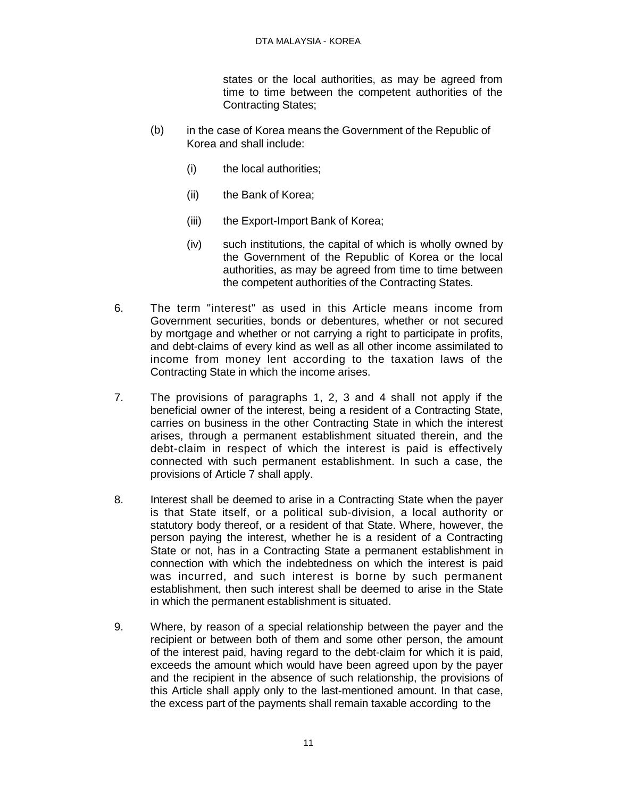states or the local authorities, as may be agreed from time to time between the competent authorities of the Contracting States;

- (b) in the case of Korea means the Government of the Republic of Korea and shall include:
	- (i) the local authorities;
	- (ii) the Bank of Korea;
	- (iii) the Export-Import Bank of Korea;
	- (iv) such institutions, the capital of which is wholly owned by the Government of the Republic of Korea or the local authorities, as may be agreed from time to time between the competent authorities of the Contracting States.
- 6. The term "interest" as used in this Article means income from Government securities, bonds or debentures, whether or not secured by mortgage and whether or not carrying a right to participate in profits, and debt-claims of every kind as well as all other income assimilated to income from money lent according to the taxation laws of the Contracting State in which the income arises.
- 7. The provisions of paragraphs 1, 2, 3 and 4 shall not apply if the beneficial owner of the interest, being a resident of a Contracting State, carries on business in the other Contracting State in which the interest arises, through a permanent establishment situated therein, and the debt-claim in respect of which the interest is paid is effectively connected with such permanent establishment. In such a case, the provisions of Article 7 shall apply.
- 8. Interest shall be deemed to arise in a Contracting State when the payer is that State itself, or a political sub-division, a local authority or statutory body thereof, or a resident of that State. Where, however, the person paying the interest, whether he is a resident of a Contracting State or not, has in a Contracting State a permanent establishment in connection with which the indebtedness on which the interest is paid was incurred, and such interest is borne by such permanent establishment, then such interest shall be deemed to arise in the State in which the permanent establishment is situated.
- 9. Where, by reason of a special relationship between the payer and the recipient or between both of them and some other person, the amount of the interest paid, having regard to the debt-claim for which it is paid, exceeds the amount which would have been agreed upon by the payer and the recipient in the absence of such relationship, the provisions of this Article shall apply only to the last-mentioned amount. In that case, the excess part of the payments shall remain taxable according to the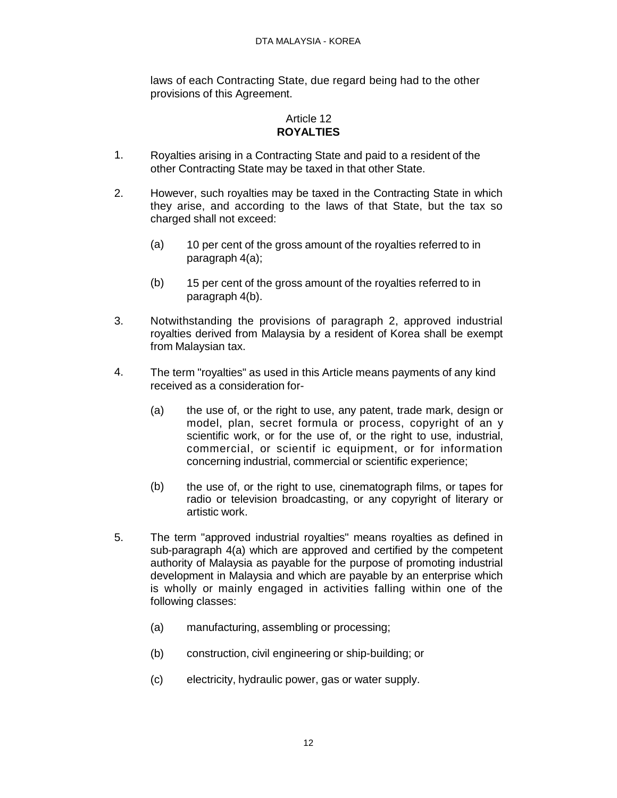laws of each Contracting State, due regard being had to the other provisions of this Agreement.

### Article 12 **ROYALTIES**

- 1. Royalties arising in a Contracting State and paid to a resident of the other Contracting State may be taxed in that other State.
- 2. However, such royalties may be taxed in the Contracting State in which they arise, and according to the laws of that State, but the tax so charged shall not exceed:
	- (a) 10 per cent of the gross amount of the royalties referred to in paragraph 4(a);
	- (b) 15 per cent of the gross amount of the royalties referred to in paragraph 4(b).
- 3. Notwithstanding the provisions of paragraph 2, approved industrial royalties derived from Malaysia by a resident of Korea shall be exempt from Malaysian tax.
- 4. The term "royalties" as used in this Article means payments of any kind received as a consideration for-
	- (a) the use of, or the right to use, any patent, trade mark, design or model, plan, secret formula or process, copyright of an y scientific work, or for the use of, or the right to use, industrial, commercial, or scientif ic equipment, or for information concerning industrial, commercial or scientific experience;
	- (b) the use of, or the right to use, cinematograph films, or tapes for radio or television broadcasting, or any copyright of literary or artistic work.
- 5. The term "approved industrial royalties" means royalties as defined in sub-paragraph 4(a) which are approved and certified by the competent authority of Malaysia as payable for the purpose of promoting industrial development in Malaysia and which are payable by an enterprise which is wholly or mainly engaged in activities falling within one of the following classes:
	- (a) manufacturing, assembling or processing;
	- (b) construction, civil engineering or ship-building; or
	- (c) electricity, hydraulic power, gas or water supply.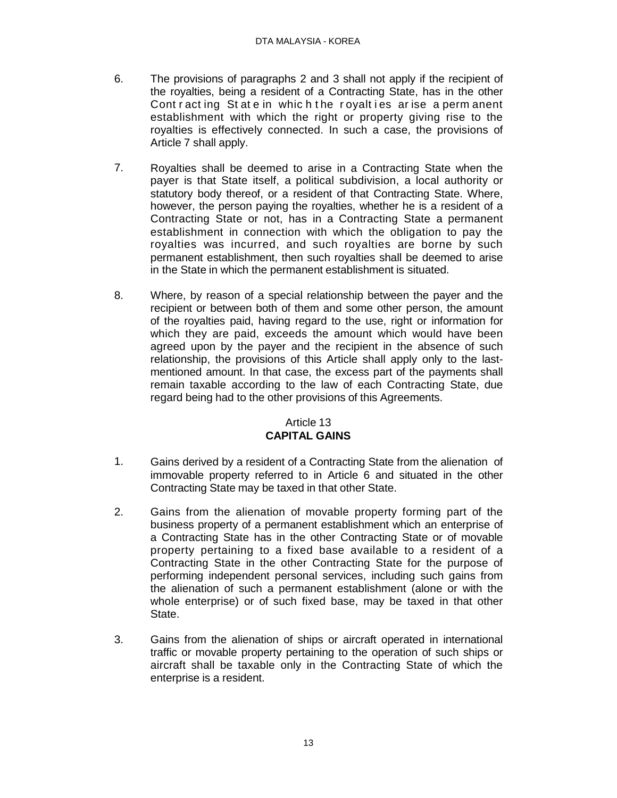- 6. The provisions of paragraphs 2 and 3 shall not apply if the recipient of the royalties, being a resident of a Contracting State, has in the other Cont r act ing St at e in which the royalties arise a perm anent establishment with which the right or property giving rise to the royalties is effectively connected. In such a case, the provisions of Article 7 shall apply.
- 7. Royalties shall be deemed to arise in a Contracting State when the payer is that State itself, a political subdivision, a local authority or statutory body thereof, or a resident of that Contracting State. Where, however, the person paying the royalties, whether he is a resident of a Contracting State or not, has in a Contracting State a permanent establishment in connection with which the obligation to pay the royalties was incurred, and such royalties are borne by such permanent establishment, then such royalties shall be deemed to arise in the State in which the permanent establishment is situated.
- 8. Where, by reason of a special relationship between the payer and the recipient or between both of them and some other person, the amount of the royalties paid, having regard to the use, right or information for which they are paid, exceeds the amount which would have been agreed upon by the payer and the recipient in the absence of such relationship, the provisions of this Article shall apply only to the lastmentioned amount. In that case, the excess part of the payments shall remain taxable according to the law of each Contracting State, due regard being had to the other provisions of this Agreements.

# Article 13 **CAPITAL GAINS**

- 1. Gains derived by a resident of a Contracting State from the alienation of immovable property referred to in Article 6 and situated in the other Contracting State may be taxed in that other State.
- 2. Gains from the alienation of movable property forming part of the business property of a permanent establishment which an enterprise of a Contracting State has in the other Contracting State or of movable property pertaining to a fixed base available to a resident of a Contracting State in the other Contracting State for the purpose of performing independent personal services, including such gains from the alienation of such a permanent establishment (alone or with the whole enterprise) or of such fixed base, may be taxed in that other State.
- 3. Gains from the alienation of ships or aircraft operated in international traffic or movable property pertaining to the operation of such ships or aircraft shall be taxable only in the Contracting State of which the enterprise is a resident.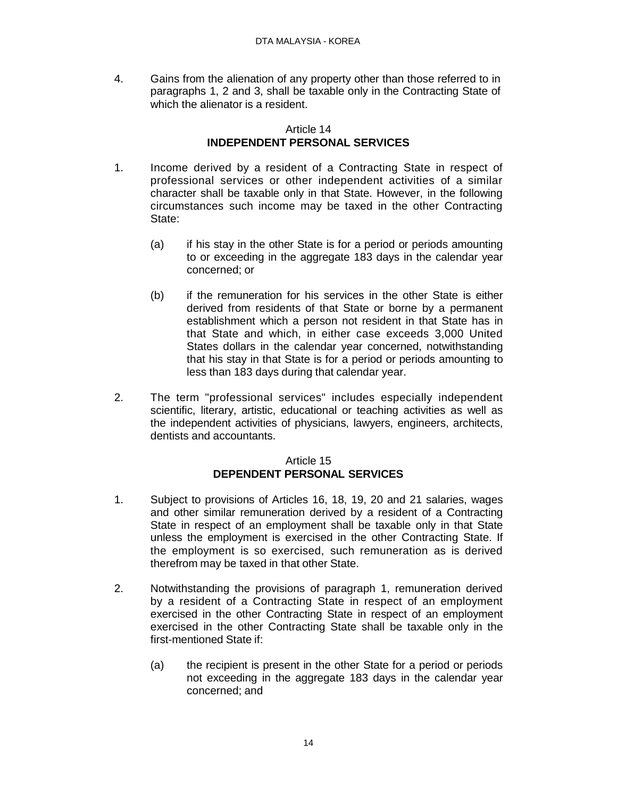4. Gains from the alienation of any property other than those referred to in paragraphs 1, 2 and 3, shall be taxable only in the Contracting State of which the alienator is a resident.

### Article 14 **INDEPENDENT PERSONAL SERVICES**

- 1. Income derived by a resident of a Contracting State in respect of professional services or other independent activities of a similar character shall be taxable only in that State. However, in the following circumstances such income may be taxed in the other Contracting State:
	- (a) if his stay in the other State is for a period or periods amounting to or exceeding in the aggregate 183 days in the calendar year concerned; or
	- (b) if the remuneration for his services in the other State is either derived from residents of that State or borne by a permanent establishment which a person not resident in that State has in that State and which, in either case exceeds 3,000 United States dollars in the calendar year concerned, notwithstanding that his stay in that State is for a period or periods amounting to less than 183 days during that calendar year.
- 2. The term "professional services" includes especially independent scientific, literary, artistic, educational or teaching activities as well as the independent activities of physicians, lawyers, engineers, architects, dentists and accountants.

### Article 15 **DEPENDENT PERSONAL SERVICES**

- 1. Subject to provisions of Articles 16, 18, 19, 20 and 21 salaries, wages and other similar remuneration derived by a resident of a Contracting State in respect of an employment shall be taxable only in that State unless the employment is exercised in the other Contracting State. If the employment is so exercised, such remuneration as is derived therefrom may be taxed in that other State.
- 2. Notwithstanding the provisions of paragraph 1, remuneration derived by a resident of a Contracting State in respect of an employment exercised in the other Contracting State in respect of an employment exercised in the other Contracting State shall be taxable only in the first-mentioned State if:
	- (a) the recipient is present in the other State for a period or periods not exceeding in the aggregate 183 days in the calendar year concerned; and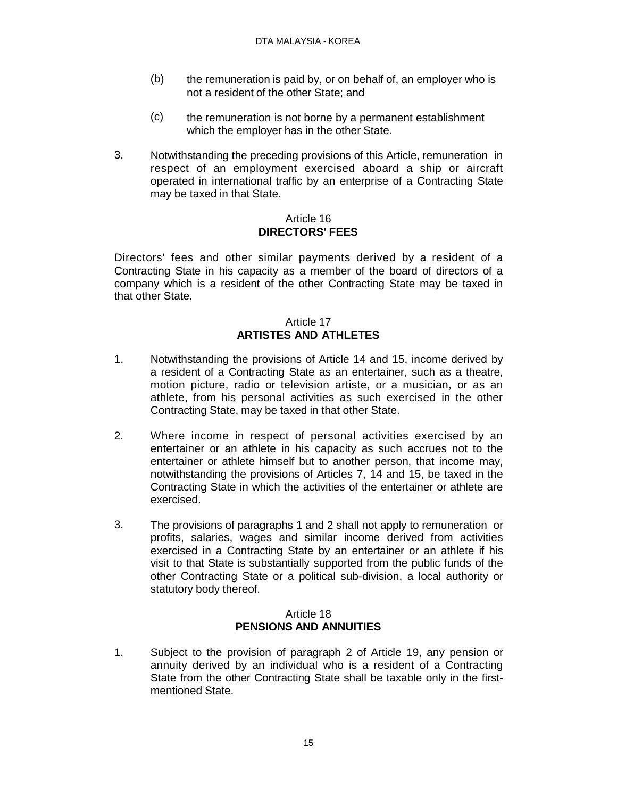- (b) the remuneration is paid by, or on behalf of, an employer who is not a resident of the other State; and
- (c) the remuneration is not borne by a permanent establishment which the employer has in the other State.
- 3. Notwithstanding the preceding provisions of this Article, remuneration in respect of an employment exercised aboard a ship or aircraft operated in international traffic by an enterprise of a Contracting State may be taxed in that State.

### Article 16 **DIRECTORS' FEES**

Directors' fees and other similar payments derived by a resident of a Contracting State in his capacity as a member of the board of directors of a company which is a resident of the other Contracting State may be taxed in that other State.

# Article 17 **ARTISTES AND ATHLETES**

- 1. Notwithstanding the provisions of Article 14 and 15, income derived by a resident of a Contracting State as an entertainer, such as a theatre, motion picture, radio or television artiste, or a musician, or as an athlete, from his personal activities as such exercised in the other Contracting State, may be taxed in that other State.
- 2. Where income in respect of personal activities exercised by an entertainer or an athlete in his capacity as such accrues not to the entertainer or athlete himself but to another person, that income may, notwithstanding the provisions of Articles 7, 14 and 15, be taxed in the Contracting State in which the activities of the entertainer or athlete are exercised.
- 3. The provisions of paragraphs 1 and 2 shall not apply to remuneration or profits, salaries, wages and similar income derived from activities exercised in a Contracting State by an entertainer or an athlete if his visit to that State is substantially supported from the public funds of the other Contracting State or a political sub-division, a local authority or statutory body thereof.

### Article 18 **PENSIONS AND ANNUITIES**

1. Subject to the provision of paragraph 2 of Article 19, any pension or annuity derived by an individual who is a resident of a Contracting State from the other Contracting State shall be taxable only in the firstmentioned State.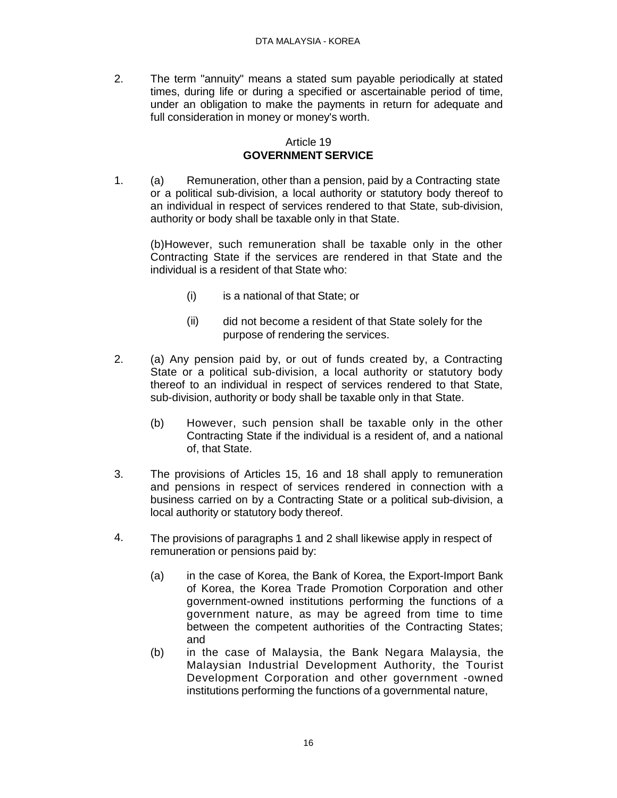2. The term "annuity" means a stated sum payable periodically at stated times, during life or during a specified or ascertainable period of time, under an obligation to make the payments in return for adequate and full consideration in money or money's worth.

## Article 19 **GOVERNMENT SERVICE**

1. (a) Remuneration, other than a pension, paid by a Contracting state or a political sub-division, a local authority or statutory body thereof to an individual in respect of services rendered to that State, sub-division, authority or body shall be taxable only in that State.

(b)However, such remuneration shall be taxable only in the other Contracting State if the services are rendered in that State and the individual is a resident of that State who:

- (i) is a national of that State; or
- (ii) did not become a resident of that State solely for the purpose of rendering the services.
- 2. (a) Any pension paid by, or out of funds created by, a Contracting State or a political sub-division, a local authority or statutory body thereof to an individual in respect of services rendered to that State, sub-division, authority or body shall be taxable only in that State.
	- (b) However, such pension shall be taxable only in the other Contracting State if the individual is a resident of, and a national of, that State.
- 3. The provisions of Articles 15, 16 and 18 shall apply to remuneration and pensions in respect of services rendered in connection with a business carried on by a Contracting State or a political sub-division, a local authority or statutory body thereof.
- 4. The provisions of paragraphs 1 and 2 shall likewise apply in respect of remuneration or pensions paid by:
	- (a) in the case of Korea, the Bank of Korea, the Export-Import Bank of Korea, the Korea Trade Promotion Corporation and other government-owned institutions performing the functions of a government nature, as may be agreed from time to time between the competent authorities of the Contracting States; and
	- (b) in the case of Malaysia, the Bank Negara Malaysia, the Malaysian Industrial Development Authority, the Tourist Development Corporation and other government -owned institutions performing the functions of a governmental nature,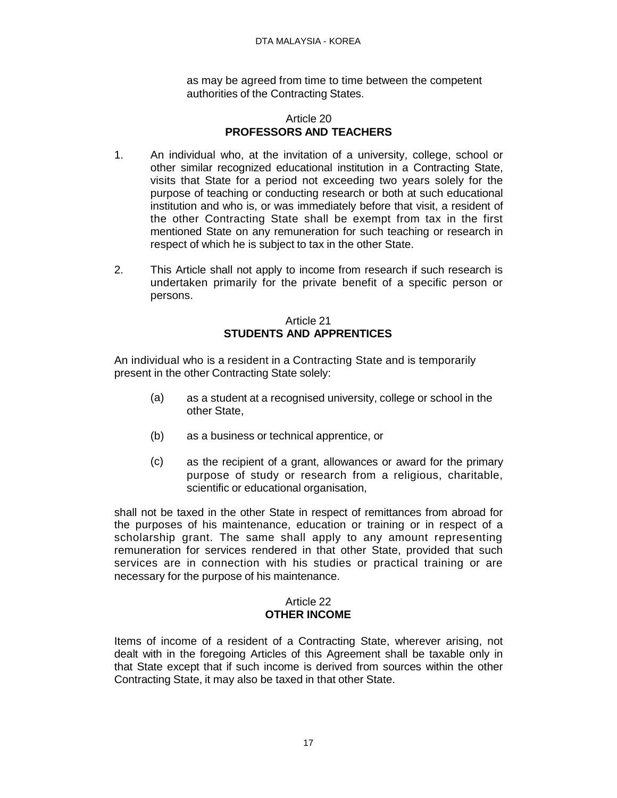as may be agreed from time to time between the competent authorities of the Contracting States.

#### Article 20 **PROFESSORS AND TEACHERS**

- 1. An individual who, at the invitation of a university, college, school or other similar recognized educational institution in a Contracting State, visits that State for a period not exceeding two years solely for the purpose of teaching or conducting research or both at such educational institution and who is, or was immediately before that visit, a resident of the other Contracting State shall be exempt from tax in the first mentioned State on any remuneration for such teaching or research in respect of which he is subject to tax in the other State.
- 2. This Article shall not apply to income from research if such research is undertaken primarily for the private benefit of a specific person or persons.

### Article 21 **STUDENTS AND APPRENTICES**

An individual who is a resident in a Contracting State and is temporarily present in the other Contracting State solely:

- (a) as a student at a recognised university, college or school in the other State,
- (b) as a business or technical apprentice, or
- (c) as the recipient of a grant, allowances or award for the primary purpose of study or research from a religious, charitable, scientific or educational organisation,

shall not be taxed in the other State in respect of remittances from abroad for the purposes of his maintenance, education or training or in respect of a scholarship grant. The same shall apply to any amount representing remuneration for services rendered in that other State, provided that such services are in connection with his studies or practical training or are necessary for the purpose of his maintenance.

### Article 22 **OTHER INCOME**

Items of income of a resident of a Contracting State, wherever arising, not dealt with in the foregoing Articles of this Agreement shall be taxable only in that State except that if such income is derived from sources within the other Contracting State, it may also be taxed in that other State.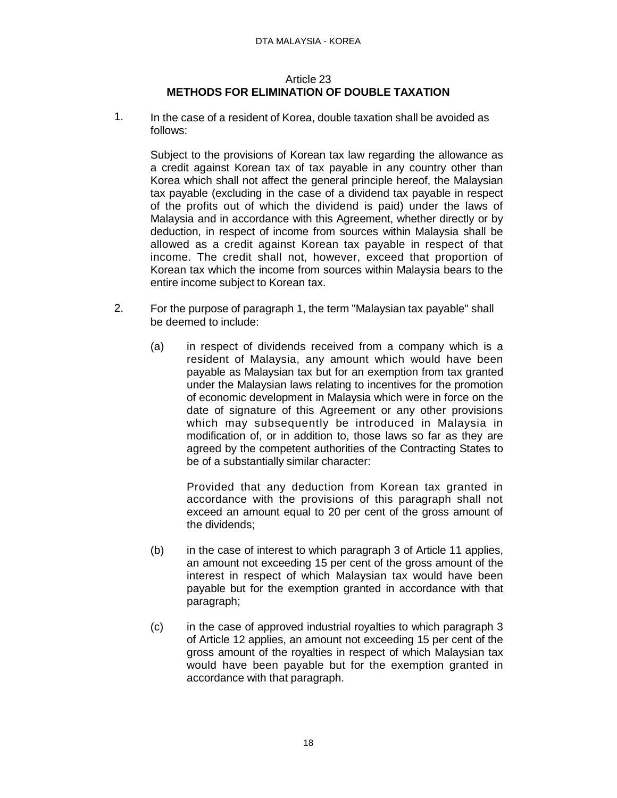#### Article 23 **METHODS FOR ELIMINATION OF DOUBLE TAXATION**

1. In the case of a resident of Korea, double taxation shall be avoided as follows:

Subject to the provisions of Korean tax law regarding the allowance as a credit against Korean tax of tax payable in any country other than Korea which shall not affect the general principle hereof, the Malaysian tax payable (excluding in the case of a dividend tax payable in respect of the profits out of which the dividend is paid) under the laws of Malaysia and in accordance with this Agreement, whether directly or by deduction, in respect of income from sources within Malaysia shall be allowed as a credit against Korean tax payable in respect of that income. The credit shall not, however, exceed that proportion of Korean tax which the income from sources within Malaysia bears to the entire income subject to Korean tax.

- 2. For the purpose of paragraph 1, the term "Malaysian tax payable" shall be deemed to include:
	- (a) in respect of dividends received from a company which is a resident of Malaysia, any amount which would have been payable as Malaysian tax but for an exemption from tax granted under the Malaysian laws relating to incentives for the promotion of economic development in Malaysia which were in force on the date of signature of this Agreement or any other provisions which may subsequently be introduced in Malaysia in modification of, or in addition to, those laws so far as they are agreed by the competent authorities of the Contracting States to be of a substantially similar character:

Provided that any deduction from Korean tax granted in accordance with the provisions of this paragraph shall not exceed an amount equal to 20 per cent of the gross amount of the dividends;

- (b) in the case of interest to which paragraph 3 of Article 11 applies, an amount not exceeding 15 per cent of the gross amount of the interest in respect of which Malaysian tax would have been payable but for the exemption granted in accordance with that paragraph;
- (c) in the case of approved industrial royalties to which paragraph 3 of Article 12 applies, an amount not exceeding 15 per cent of the gross amount of the royalties in respect of which Malaysian tax would have been payable but for the exemption granted in accordance with that paragraph.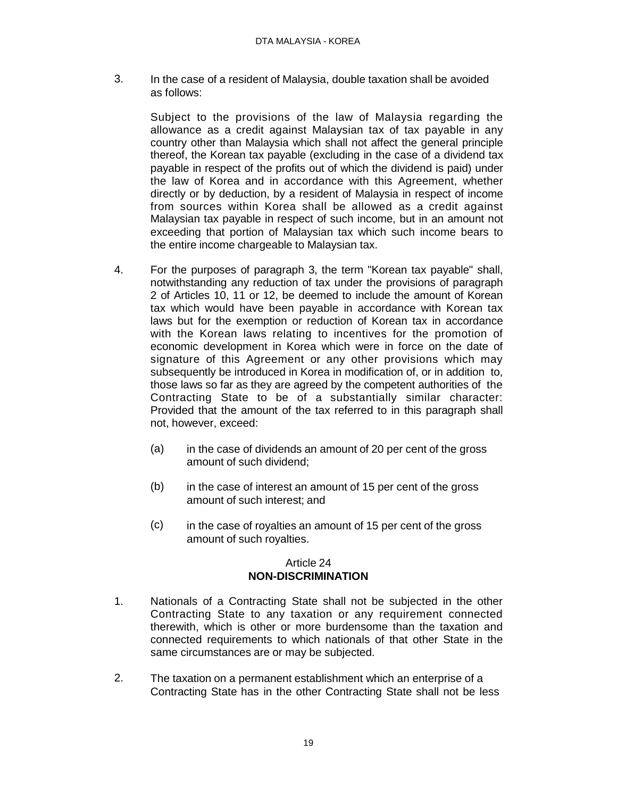3. In the case of a resident of Malaysia, double taxation shall be avoided as follows:

Subject to the provisions of the law of Malaysia regarding the allowance as a credit against Malaysian tax of tax payable in any country other than Malaysia which shall not affect the general principle thereof, the Korean tax payable (excluding in the case of a dividend tax payable in respect of the profits out of which the dividend is paid) under the law of Korea and in accordance with this Agreement, whether directly or by deduction, by a resident of Malaysia in respect of income from sources within Korea shall be allowed as a credit against Malaysian tax payable in respect of such income, but in an amount not exceeding that portion of Malaysian tax which such income bears to the entire income chargeable to Malaysian tax.

- 4. For the purposes of paragraph 3, the term "Korean tax payable" shall, notwithstanding any reduction of tax under the provisions of paragraph 2 of Articles 10, 11 or 12, be deemed to include the amount of Korean tax which would have been payable in accordance with Korean tax laws but for the exemption or reduction of Korean tax in accordance with the Korean laws relating to incentives for the promotion of economic development in Korea which were in force on the date of signature of this Agreement or any other provisions which may subsequently be introduced in Korea in modification of, or in addition to, those laws so far as they are agreed by the competent authorities of the Contracting State to be of a substantially similar character: Provided that the amount of the tax referred to in this paragraph shall not, however, exceed:
	- (a) in the case of dividends an amount of 20 per cent of the gross amount of such dividend;
	- (b) in the case of interest an amount of 15 per cent of the gross amount of such interest; and
	- (c) in the case of royalties an amount of 15 per cent of the gross amount of such royalties.

### Article 24 **NON-DISCRIMINATION**

- 1. Nationals of a Contracting State shall not be subjected in the other Contracting State to any taxation or any requirement connected therewith, which is other or more burdensome than the taxation and connected requirements to which nationals of that other State in the same circumstances are or may be subjected.
- 2. The taxation on a permanent establishment which an enterprise of a Contracting State has in the other Contracting State shall not be less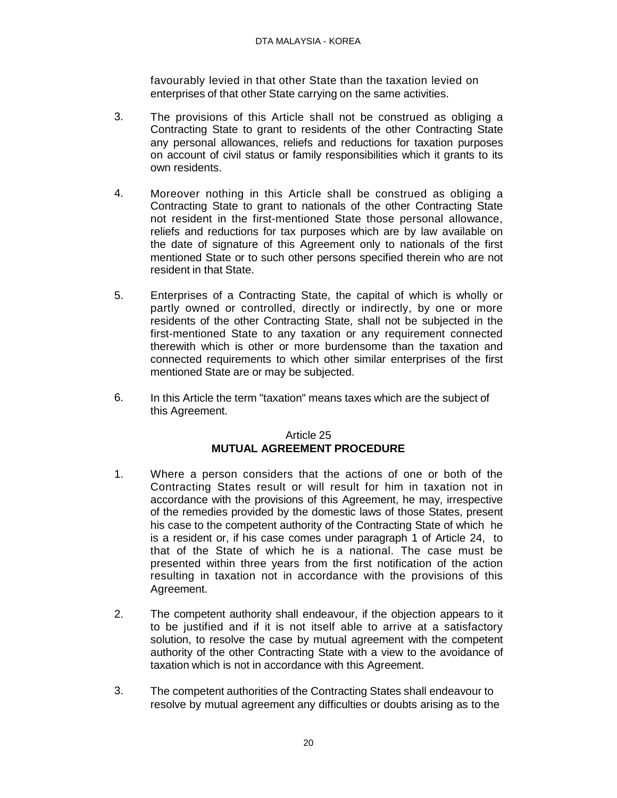favourably levied in that other State than the taxation levied on enterprises of that other State carrying on the same activities.

- 3. The provisions of this Article shall not be construed as obliging a Contracting State to grant to residents of the other Contracting State any personal allowances, reliefs and reductions for taxation purposes on account of civil status or family responsibilities which it grants to its own residents.
- 4. Moreover nothing in this Article shall be construed as obliging a Contracting State to grant to nationals of the other Contracting State not resident in the first-mentioned State those personal allowance, reliefs and reductions for tax purposes which are by law available on the date of signature of this Agreement only to nationals of the first mentioned State or to such other persons specified therein who are not resident in that State.
- 5. Enterprises of a Contracting State, the capital of which is wholly or partly owned or controlled, directly or indirectly, by one or more residents of the other Contracting State, shall not be subjected in the first-mentioned State to any taxation or any requirement connected therewith which is other or more burdensome than the taxation and connected requirements to which other similar enterprises of the first mentioned State are or may be subjected.
- 6. In this Article the term "taxation" means taxes which are the subject of this Agreement.

### Article 25 **MUTUAL AGREEMENT PROCEDURE**

- 1. Where a person considers that the actions of one or both of the Contracting States result or will result for him in taxation not in accordance with the provisions of this Agreement, he may, irrespective of the remedies provided by the domestic laws of those States, present his case to the competent authority of the Contracting State of which he is a resident or, if his case comes under paragraph 1 of Article 24, to that of the State of which he is a national. The case must be presented within three years from the first notification of the action resulting in taxation not in accordance with the provisions of this Agreement.
- 2. The competent authority shall endeavour, if the objection appears to it to be justified and if it is not itself able to arrive at a satisfactory solution, to resolve the case by mutual agreement with the competent authority of the other Contracting State with a view to the avoidance of taxation which is not in accordance with this Agreement.
- 3. The competent authorities of the Contracting States shall endeavour to resolve by mutual agreement any difficulties or doubts arising as to the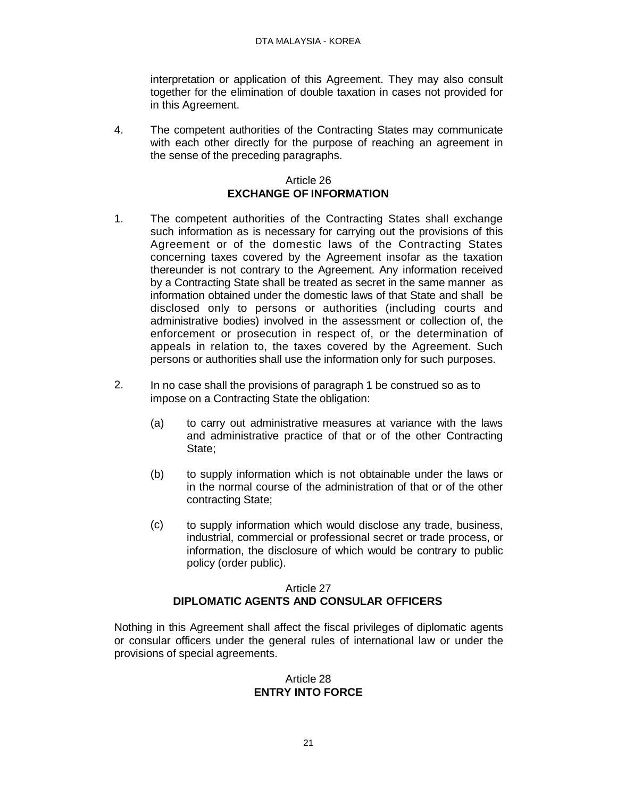interpretation or application of this Agreement. They may also consult together for the elimination of double taxation in cases not provided for in this Agreement.

4. The competent authorities of the Contracting States may communicate with each other directly for the purpose of reaching an agreement in the sense of the preceding paragraphs.

### Article 26 **EXCHANGE OF INFORMATION**

- 1. The competent authorities of the Contracting States shall exchange such information as is necessary for carrying out the provisions of this Agreement or of the domestic laws of the Contracting States concerning taxes covered by the Agreement insofar as the taxation thereunder is not contrary to the Agreement. Any information received by a Contracting State shall be treated as secret in the same manner as information obtained under the domestic laws of that State and shall be disclosed only to persons or authorities (including courts and administrative bodies) involved in the assessment or collection of, the enforcement or prosecution in respect of, or the determination of appeals in relation to, the taxes covered by the Agreement. Such persons or authorities shall use the information only for such purposes.
- 2. In no case shall the provisions of paragraph 1 be construed so as to impose on a Contracting State the obligation:
	- (a) to carry out administrative measures at variance with the laws and administrative practice of that or of the other Contracting State:
	- (b) to supply information which is not obtainable under the laws or in the normal course of the administration of that or of the other contracting State;
	- (c) to supply information which would disclose any trade, business, industrial, commercial or professional secret or trade process, or information, the disclosure of which would be contrary to public policy (order public).

### Article 27 **DIPLOMATIC AGENTS AND CONSULAR OFFICERS**

Nothing in this Agreement shall affect the fiscal privileges of diplomatic agents or consular officers under the general rules of international law or under the provisions of special agreements.

#### Article 28 **ENTRY INTO FORCE**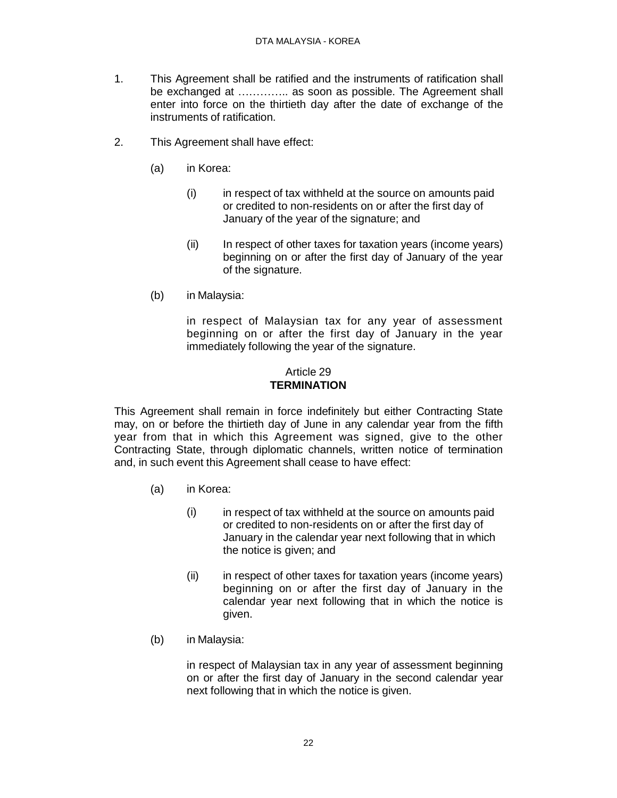- 1. This Agreement shall be ratified and the instruments of ratification shall be exchanged at ………….. as soon as possible. The Agreement shall enter into force on the thirtieth day after the date of exchange of the instruments of ratification.
- 2. This Agreement shall have effect:
	- (a) in Korea:
		- (i) in respect of tax withheld at the source on amounts paid or credited to non-residents on or after the first day of January of the year of the signature; and
		- (ii) In respect of other taxes for taxation years (income years) beginning on or after the first day of January of the year of the signature.
	- (b) in Malaysia:

in respect of Malaysian tax for any year of assessment beginning on or after the first day of January in the year immediately following the year of the signature.

### Article 29 **TERMINATION**

This Agreement shall remain in force indefinitely but either Contracting State may, on or before the thirtieth day of June in any calendar year from the fifth year from that in which this Agreement was signed, give to the other Contracting State, through diplomatic channels, written notice of termination and, in such event this Agreement shall cease to have effect:

- (a) in Korea:
	- (i) in respect of tax withheld at the source on amounts paid or credited to non-residents on or after the first day of January in the calendar year next following that in which the notice is given; and
	- (ii) in respect of other taxes for taxation years (income years) beginning on or after the first day of January in the calendar year next following that in which the notice is given.
- (b) in Malaysia:

in respect of Malaysian tax in any year of assessment beginning on or after the first day of January in the second calendar year next following that in which the notice is given.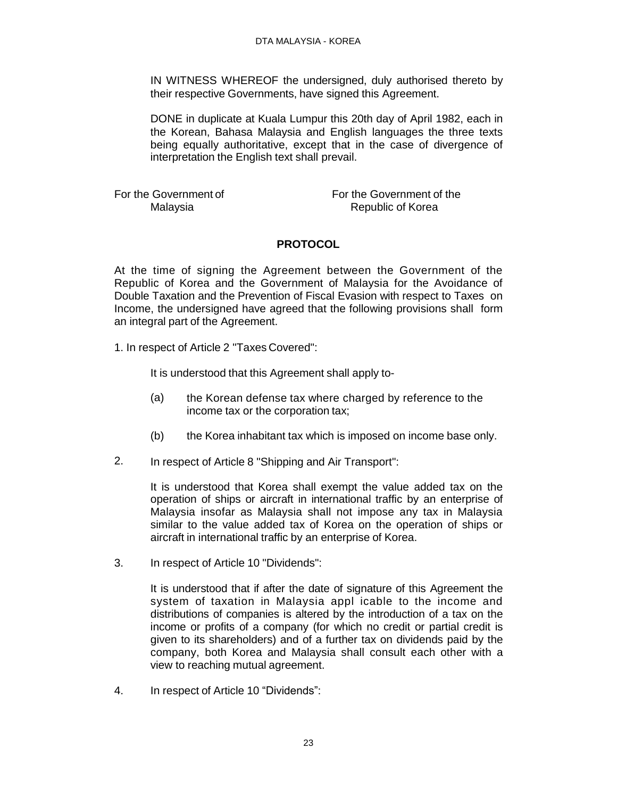IN WITNESS WHEREOF the undersigned, duly authorised thereto by their respective Governments, have signed this Agreement.

DONE in duplicate at Kuala Lumpur this 20th day of April 1982, each in the Korean, Bahasa Malaysia and English languages the three texts being equally authoritative, except that in the case of divergence of interpretation the English text shall prevail.

For the Government of Malaysia

For the Government of the Republic of Korea

# **PROTOCOL**

At the time of signing the Agreement between the Government of the Republic of Korea and the Government of Malaysia for the Avoidance of Double Taxation and the Prevention of Fiscal Evasion with respect to Taxes on Income, the undersigned have agreed that the following provisions shall form an integral part of the Agreement.

1. In respect of Article 2 "Taxes Covered":

It is understood that this Agreement shall apply to-

- (a) the Korean defense tax where charged by reference to the income tax or the corporation tax;
- (b) the Korea inhabitant tax which is imposed on income base only.
- 2. In respect of Article 8 "Shipping and Air Transport":

It is understood that Korea shall exempt the value added tax on the operation of ships or aircraft in international traffic by an enterprise of Malaysia insofar as Malaysia shall not impose any tax in Malaysia similar to the value added tax of Korea on the operation of ships or aircraft in international traffic by an enterprise of Korea.

3. In respect of Article 10 "Dividends":

It is understood that if after the date of signature of this Agreement the system of taxation in Malaysia appl icable to the income and distributions of companies is altered by the introduction of a tax on the income or profits of a company (for which no credit or partial credit is given to its shareholders) and of a further tax on dividends paid by the company, both Korea and Malaysia shall consult each other with a view to reaching mutual agreement.

4. In respect of Article 10 "Dividends":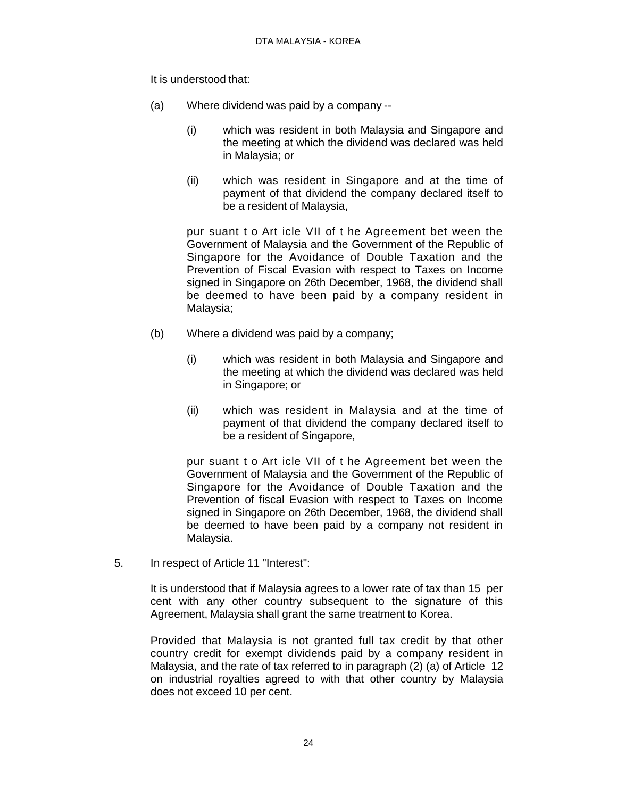It is understood that:

- (a) Where dividend was paid by a company --
	- (i) which was resident in both Malaysia and Singapore and the meeting at which the dividend was declared was held in Malaysia; or
	- (ii) which was resident in Singapore and at the time of payment of that dividend the company declared itself to be a resident of Malaysia,

pur suant t o Art icle VII of t he Agreement bet ween the Government of Malaysia and the Government of the Republic of Singapore for the Avoidance of Double Taxation and the Prevention of Fiscal Evasion with respect to Taxes on Income signed in Singapore on 26th December, 1968, the dividend shall be deemed to have been paid by a company resident in Malaysia;

- (b) Where a dividend was paid by a company;
	- (i) which was resident in both Malaysia and Singapore and the meeting at which the dividend was declared was held in Singapore; or
	- (ii) which was resident in Malaysia and at the time of payment of that dividend the company declared itself to be a resident of Singapore,

pur suant t o Art icle VII of t he Agreement bet ween the Government of Malaysia and the Government of the Republic of Singapore for the Avoidance of Double Taxation and the Prevention of fiscal Evasion with respect to Taxes on Income signed in Singapore on 26th December, 1968, the dividend shall be deemed to have been paid by a company not resident in Malaysia.

5. In respect of Article 11 "Interest":

It is understood that if Malaysia agrees to a lower rate of tax than 15 per cent with any other country subsequent to the signature of this Agreement, Malaysia shall grant the same treatment to Korea.

Provided that Malaysia is not granted full tax credit by that other country credit for exempt dividends paid by a company resident in Malaysia, and the rate of tax referred to in paragraph (2) (a) of Article 12 on industrial royalties agreed to with that other country by Malaysia does not exceed 10 per cent.